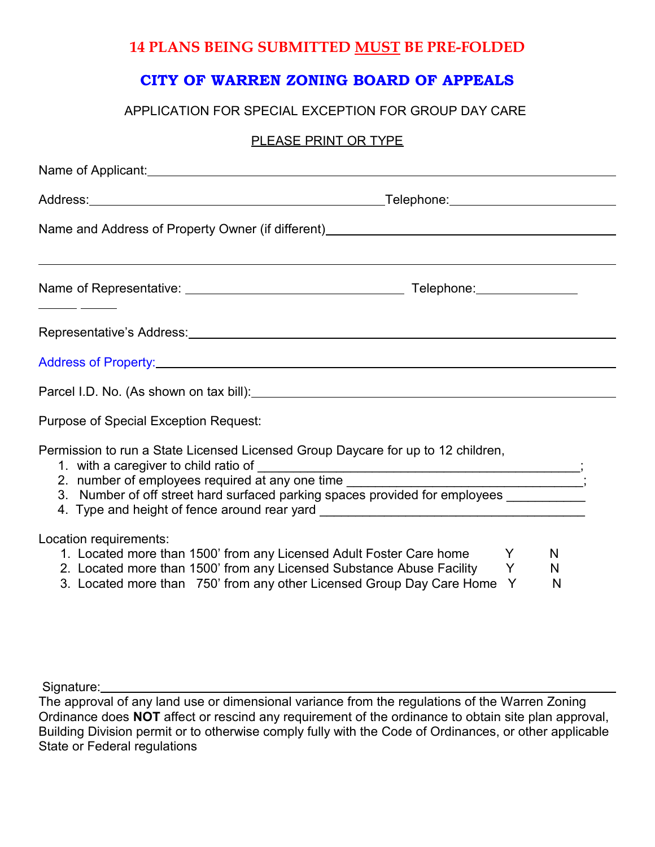## **14 PLANS BEING SUBMITTED MUST BE PRE-FOLDED**

# **CITY OF WARREN ZONING BOARD OF APPEALS**

### APPLICATION FOR SPECIAL EXCEPTION FOR GROUP DAY CARE

### PLEASE PRINT OR TYPE

|                                              | Name and Address of Property Owner (if different)________________________________                                                                                                                                                                                                                                                               |             |             |  |  |
|----------------------------------------------|-------------------------------------------------------------------------------------------------------------------------------------------------------------------------------------------------------------------------------------------------------------------------------------------------------------------------------------------------|-------------|-------------|--|--|
|                                              |                                                                                                                                                                                                                                                                                                                                                 |             |             |  |  |
|                                              |                                                                                                                                                                                                                                                                                                                                                 |             |             |  |  |
|                                              |                                                                                                                                                                                                                                                                                                                                                 |             |             |  |  |
|                                              |                                                                                                                                                                                                                                                                                                                                                 |             |             |  |  |
| <b>Purpose of Special Exception Request:</b> |                                                                                                                                                                                                                                                                                                                                                 |             |             |  |  |
| 1. with a caregiver to child ratio of        | Permission to run a State Licensed Licensed Group Daycare for up to 12 children,<br>2. number of employees required at any one time _____________________________;<br>3. Number of off street hard surfaced parking spaces provided for employees _________<br>4. Type and height of fence around rear yard ___________________________________ |             |             |  |  |
| Location requirements:                       | 1. Located more than 1500' from any Licensed Adult Foster Care home<br>2. Located more than 1500' from any Licensed Substance Abuse Facility<br>3. Located more than 750' from any other Licensed Group Day Care Home                                                                                                                           | Y<br>Y<br>Y | N<br>N<br>N |  |  |

Signature:

The approval of any land use or dimensional variance from the regulations of the Warren Zoning Ordinance does **NOT** affect or rescind any requirement of the ordinance to obtain site plan approval, Building Division permit or to otherwise comply fully with the Code of Ordinances, or other applicable State or Federal regulations